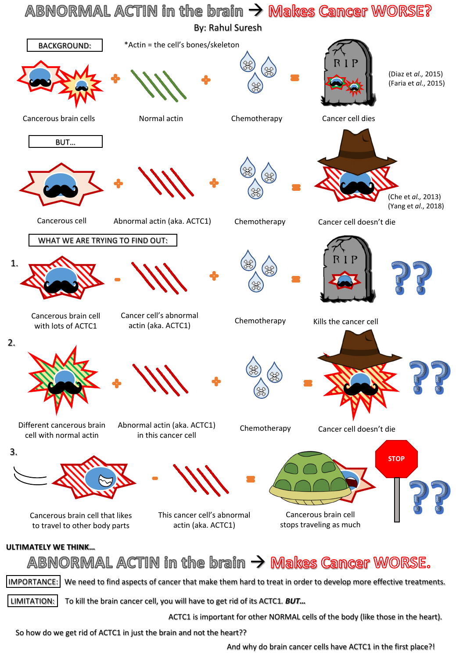

And why do brain cancer cells have ACTC1 in the first place?!